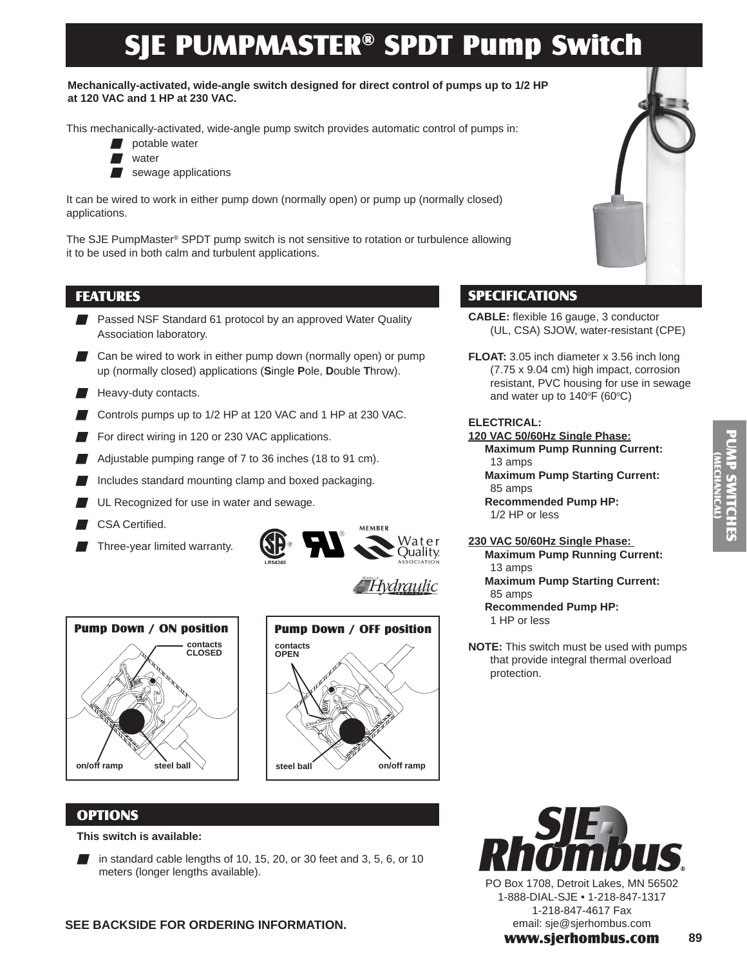# SJE PUMPMASTER® SPDT Pump Switch

**Mechanically-activated, wide-angle switch designed for direct control of pumps up to 1/2 HP at 120 VAC and 1 HP at 230 VAC.**

This mechanically-activated, wide-angle pump switch provides automatic control of pumps in:

- potable water
- **N** water
- sewage applications

It can be wired to work in either pump down (normally open) or pump up (normally closed) applications.

The SJE PumpMaster® SPDT pump switch is not sensitive to rotation or turbulence allowing it to be used in both calm and turbulent applications.

# FEATURES

- Passed NSF Standard 61 protocol by an approved Water Quality Association laboratory.
- Can be wired to work in either pump down (normally open) or pump up (normally closed) applications (**S**ingle **P**ole, **D**ouble **T**hrow).
- $\blacksquare$  Heavy-duty contacts.
- Controls pumps up to 1/2 HP at 120 VAC and 1 HP at 230 VAC.
- For direct wiring in 120 or 230 VAC applications.
- Adjustable pumping range of 7 to 36 inches (18 to 91 cm).
- Includes standard mounting clamp and boxed packaging.
- UL Recognized for use in water and sewage.
- CSA Certified.
- Three-year limited warranty.



≣Hvdraulic





## OPTIONS

#### **This switch is available:**

in standard cable lengths of 10, 15, 20, or 30 feet and 3, 5, 6, or 10 meters (longer lengths available).



# SPECIFICATIONS

- **CABLE:** flexible 16 gauge, 3 conductor (UL, CSA) SJOW, water-resistant (CPE)
- **FLOAT:** 3.05 inch diameter x 3.56 inch long (7.75 x 9.04 cm) high impact, corrosion resistant, PVC housing for use in sewage and water up to  $140^{\circ}$ F (60 $^{\circ}$ C)

#### **ELECTRICAL:**

### **120 VAC 50/60Hz Single Phase:**

- **Maximum Pump Running Current:**  13 amps
	- **Maximum Pump Starting Current:**  85 amps
	- **Recommended Pump HP:**  1/2 HP or less

#### **230 VAC 50/60Hz Single Phase:**

- **Maximum Pump Running Current:**  13 amps **Maximum Pump Starting Current:** 
	- 85 amps
	- **Recommended Pump HP:**  1 HP or less
- **NOTE:** This switch must be used with pumps that provide integral thermal overload protection.